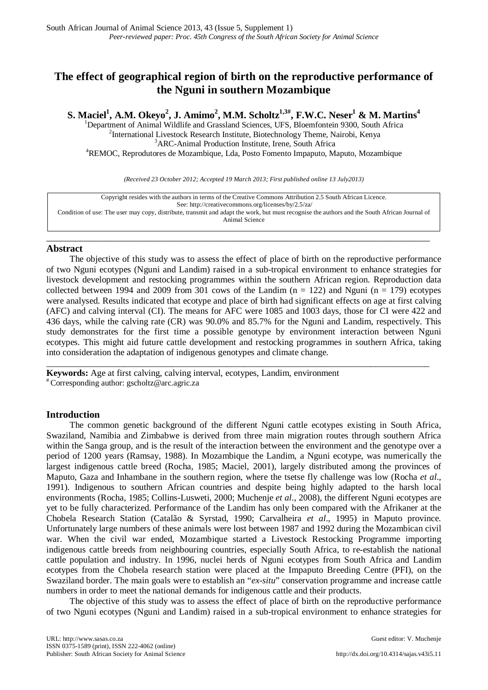# **The effect of geographical region of birth on the reproductive performance of the Nguni in southern Mozambique**

**S. Maciel<sup>1</sup>, A.M. Okeyo<sup>2</sup>, J. Amimo<sup>2</sup>, M.M. Scholtz<sup>1,3#</sup>, F.W.C. Neser<sup>1</sup> & M. Martins<sup>4</sup><br><sup>1</sup>Department of Animal Wildlife and Grassland Sciences, UFS, Bloemfontein 9300, South Africa<br><sup>2</sup>International Livesteek Besse** <sup>2</sup>International Livestock Research Institute, Biotechnology Theme, Nairobi, Kenya <sup>3</sup>ARC-Animal Production Institute, Irene, South Africa REMOC, Reprodutores de Mozambique, Lda, Posto Fomento Impaputo, Maputo, Mozambique

*(Received 23 October 2012; Accepted 19 March 2013; First published online 13 July2013)*

Copyright resides with the authors in terms of the Creative Commons Attribution 2.5 South African Licence. See[: http://creativecommons.org/licenses/by/2.5/za/](http://creativecommons.org/licenses/by/2.5/za/) Condition of use: The user may copy, distribute, transmit and adapt the work, but must recognise the authors and the South African Journal of Animal Science

\_\_\_\_\_\_\_\_\_\_\_\_\_\_\_\_\_\_\_\_\_\_\_\_\_\_\_\_\_\_\_\_\_\_\_\_\_\_\_\_\_\_\_\_\_\_\_\_\_\_\_\_\_\_\_\_\_\_\_\_\_\_\_\_\_\_\_\_\_\_\_\_\_\_\_\_\_\_

# **Abstract**

The objective of this study was to assess the effect of place of birth on the reproductive performance of two Nguni ecotypes (Nguni and Landim) raised in a sub-tropical environment to enhance strategies for livestock development and restocking programmes within the southern African region. Reproduction data collected between 1994 and 2009 from 301 cows of the Landim  $(n = 122)$  and Nguni  $(n = 179)$  ecotypes were analysed. Results indicated that ecotype and place of birth had significant effects on age at first calving (AFC) and calving interval (CI). The means for AFC were 1085 and 1003 days, those for CI were 422 and 436 days, while the calving rate (CR) was 90.0% and 85.7% for the Nguni and Landim, respectively. This study demonstrates for the first time a possible genotype by environment interaction between Nguni ecotypes. This might aid future cattle development and restocking programmes in southern Africa, taking into consideration the adaptation of indigenous genotypes and climate change.

\_\_\_\_\_\_\_\_\_\_\_\_\_\_\_\_\_\_\_\_\_\_\_\_\_\_\_\_\_\_\_\_\_\_\_\_\_\_\_\_\_\_\_\_\_\_\_\_\_\_\_\_\_\_\_\_\_\_\_\_\_\_\_\_\_\_\_\_\_\_\_\_\_\_\_\_\_\_\_\_\_\_\_\_\_

**Keywords:** Age at first calving, calving interval, ecotypes, Landim, environment # Corresponding author: [gscholtz@arc.agric.za](mailto:gscholtz@arc.agric.za)

# **Introduction**

The common genetic background of the different Nguni cattle ecotypes existing in South Africa, Swaziland, Namibia and Zimbabwe is derived from three main migration routes through southern Africa within the Sanga group, and is the result of the interaction between the environment and the genotype over a period of 1200 years (Ramsay, 1988). In Mozambique the Landim, a Nguni ecotype, was numerically the largest indigenous cattle breed (Rocha, 1985; Maciel, 2001), largely distributed among the provinces of Maputo, Gaza and Inhambane in the southern region, where the tsetse fly challenge was low (Rocha *et al*., 1991). Indigenous to southern African countries and despite being highly adapted to the harsh local environments (Rocha, 1985; Collins-Lusweti, 2000; Muchenje *et al*., 2008), the different Nguni ecotypes are yet to be fully characterized. Performance of the Landim has only been compared with the Afrikaner at the Chobela Research Station (Catalão & Syrstad, 1990; Carvalheira *et al*., 1995) in Maputo province. Unfortunately large numbers of these animals were lost between 1987 and 1992 during the Mozambican civil war. When the civil war ended, Mozambique started a Livestock Restocking Programme importing indigenous cattle breeds from neighbouring countries, especially South Africa, to re-establish the national cattle population and industry. In 1996, nuclei herds of Nguni ecotypes from South Africa and Landim ecotypes from the Chobela research station were placed at the Impaputo Breeding Centre (PFI), on the Swaziland border. The main goals were to establish an "*ex-situ*" conservation programme and increase cattle numbers in order to meet the national demands for indigenous cattle and their products.

The objective of this study was to assess the effect of place of birth on the reproductive performance of two Nguni ecotypes (Nguni and Landim) raised in a sub-tropical environment to enhance strategies for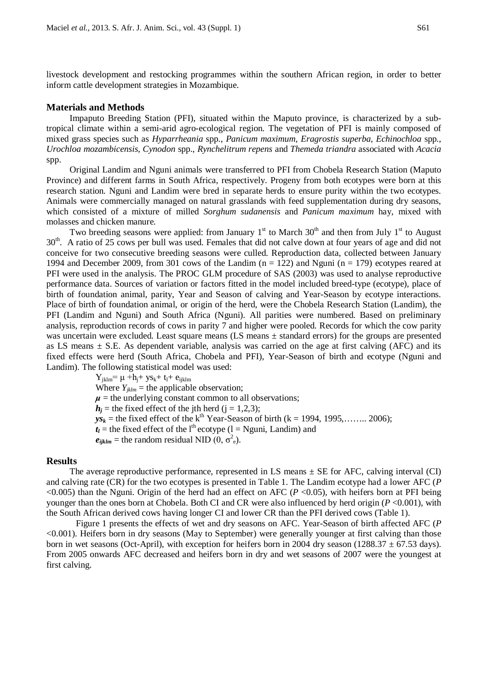livestock development and restocking programmes within the southern African region, in order to better inform cattle development strategies in Mozambique.

### **Materials and Methods**

Impaputo Breeding Station (PFI), situated within the Maputo province, is characterized by a subtropical climate within a semi-arid agro-ecological region. The vegetation of PFI is mainly composed of mixed grass species such as *Hyparrheania* spp., *Panicum maximum*, *Eragrostis superba*, *Echinochloa* spp*.*, *Urochloa mozambicensis*, *Cynodon* spp., *Rynchelitrum repens* and *Themeda triandra* associated with *Acacia*  spp.

Original Landim and Nguni animals were transferred to PFI from Chobela Research Station (Maputo Province) and different farms in South Africa, respectively. Progeny from both ecotypes were born at this research station. Nguni and Landim were bred in separate herds to ensure purity within the two ecotypes. Animals were commercially managed on natural grasslands with feed supplementation during dry seasons, which consisted of a mixture of milled *Sorghum sudanensis* and *Panicum maximum* hay, mixed with molasses and chicken manure.

Two breeding seasons were applied: from January  $1<sup>st</sup>$  to March  $30<sup>th</sup>$  and then from July  $1<sup>st</sup>$  to August 30<sup>th</sup>. A ratio of 25 cows per bull was used. Females that did not calve down at four years of age and did not conceive for two consecutive breeding seasons were culled. Reproduction data, collected between January 1994 and December 2009, from 301 cows of the Landim  $(n = 122)$  and Nguni  $(n = 179)$  ecotypes reared at PFI were used in the analysis. The PROC GLM procedure of SAS (2003) was used to analyse reproductive performance data. Sources of variation or factors fitted in the model included breed-type (ecotype), place of birth of foundation animal, parity, Year and Season of calving and Year-Season by ecotype interactions. Place of birth of foundation animal, or origin of the herd, were the Chobela Research Station (Landim), the PFI (Landim and Nguni) and South Africa (Nguni). All parities were numbered. Based on preliminary analysis, reproduction records of cows in parity 7 and higher were pooled. Records for which the cow parity was uncertain were excluded. Least square means (LS means ± standard errors) for the groups are presented as LS means  $\pm$  S.E. As dependent variable, analysis was carried on the age at first calving (AFC) and its fixed effects were herd (South Africa, Chobela and PFI), Year-Season of birth and ecotype (Nguni and Landim). The following statistical model was used:

> $Y_{jklm} = \mu + h_j + y s_k + t_l + e_{ijklm}$ Where  $Y_{iklm}$  = the applicable observation;  $\mu$  = the underlying constant common to all observations;  $h_i$  = the fixed effect of the jth herd (j = 1,2,3);  $ys_k$  = the fixed effect of the k<sup>th</sup> Year-Season of birth (k = 1994, 1995,........ 2006);  $t_l$  = the fixed effect of the l<sup>th</sup> ecotype (l = Nguni, Landim) and  $e_{ijklm}$  = the random residual NID  $(0, \sigma^2_e)$ .

# **Results**

The average reproductive performance, represented in LS means  $\pm$  SE for AFC, calving interval (CI) and calving rate (CR) for the two ecotypes is presented in Table 1. The Landim ecotype had a lower AFC (*P*  $\leq$ 0.005) than the Nguni. Origin of the herd had an effect on AFC (*P*  $\leq$ 0.05), with heifers born at PFI being younger than the ones born at Chobela. Both CI and CR were also influenced by herd origin (*P* <0.001), with the South African derived cows having longer CI and lower CR than the PFI derived cows (Table 1).

Figure 1 presents the effects of wet and dry seasons on AFC. Year-Season of birth affected AFC (*P*  <0.001). Heifers born in dry seasons (May to September) were generally younger at first calving than those born in wet seasons (Oct-April), with exception for heifers born in 2004 dry season (1288.37  $\pm$  67.53 days). From 2005 onwards AFC decreased and heifers born in dry and wet seasons of 2007 were the youngest at first calving.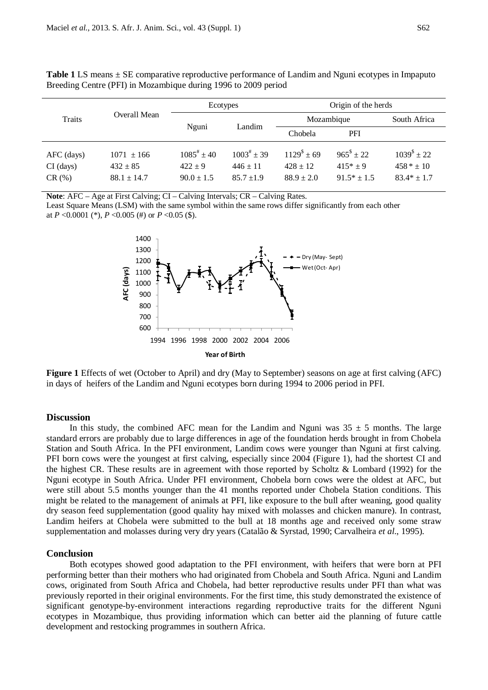| Traits       | Overall Mean   | Ecotypes           |                    | Origin of the herds |                   |                    |
|--------------|----------------|--------------------|--------------------|---------------------|-------------------|--------------------|
|              |                | Nguni              | Landim             | Mozambique          |                   | South Africa       |
|              |                |                    |                    | Chobela             | PFI               |                    |
| $AFC$ (days) | $1071 \pm 166$ | $1085^{\#} \pm 40$ | $1003^{\#} \pm 39$ | $1129^{\$} \pm 69$  | $965^{\$} \pm 22$ | $1039^{\$} \pm 22$ |

CI (days)  $432 \pm 85$   $422 \pm 9$   $446 \pm 11$   $428 \pm 12$   $415^* \pm 9$   $458^* \pm 10$ CR (%) 88.1 ± 14.7 90.0 ± 1.5 85.7 ± 1.9 88.9 ± 2.0 91.5 \* ± 1.5 83.4 \* ± 1.7

**Table 1** LS means ± SE comparative reproductive performance of Landim and Nguni ecotypes in Impaputo Breeding Centre (PFI) in Mozambique during 1996 to 2009 period

**Note**: AFC – Age at First Calving; CI – Calving Intervals; CR – Calving Rates.

Least Square Means (LSM) with the same symbol within the same rows differ significantly from each other at *P* <0.0001 (\*), *P* <0.005 (#) or *P* <0.05 (\$).



**Figure 1** Effects of wet (October to April) and dry (May to September) seasons on age at first calving (AFC) in days of heifers of the Landim and Nguni ecotypes born during 1994 to 2006 period in PFI.

### **Discussion**

In this study, the combined AFC mean for the Landim and Nguni was  $35 \pm 5$  months. The large standard errors are probably due to large differences in age of the foundation herds brought in from Chobela Station and South Africa. In the PFI environment, Landim cows were younger than Nguni at first calving. PFI born cows were the youngest at first calving, especially since 2004 (Figure 1), had the shortest CI and the highest CR. These results are in agreement with those reported by Scholtz & Lombard (1992) for the Nguni ecotype in South Africa. Under PFI environment, Chobela born cows were the oldest at AFC, but were still about 5.5 months younger than the 41 months reported under Chobela Station conditions. This might be related to the management of animals at PFI, like exposure to the bull after weaning, good quality dry season feed supplementation (good quality hay mixed with molasses and chicken manure). In contrast, Landim heifers at Chobela were submitted to the bull at 18 months age and received only some straw supplementation and molasses during very dry years (Catalão & Syrstad, 1990; Carvalheira *et al*., 1995).

#### **Conclusion**

Both ecotypes showed good adaptation to the PFI environment, with heifers that were born at PFI performing better than their mothers who had originated from Chobela and South Africa. Nguni and Landim cows, originated from South Africa and Chobela, had better reproductive results under PFI than what was previously reported in their original environments. For the first time, this study demonstrated the existence of significant genotype-by-environment interactions regarding reproductive traits for the different Nguni ecotypes in Mozambique, thus providing information which can better aid the planning of future cattle development and restocking programmes in southern Africa.